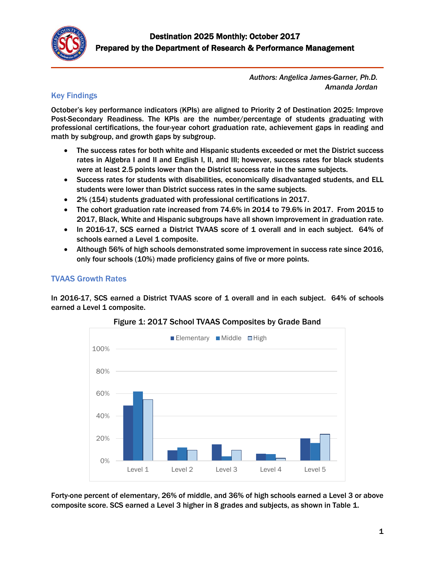

*Authors: Angelica James-Garner, Ph.D. Amanda Jordan*

# Key Findings

October's key performance indicators (KPIs) are aligned to Priority 2 of Destination 2025: Improve Post-Secondary Readiness. The KPIs are the number/percentage of students graduating with professional certifications, the four-year cohort graduation rate, achievement gaps in reading and math by subgroup, and growth gaps by subgroup.

- The success rates for both white and Hispanic students exceeded or met the District success rates in Algebra I and II and English I, II, and III; however, success rates for black students were at least 2.5 points lower than the District success rate in the same subjects.
- Success rates for students with disabilities, economically disadvantaged students, and ELL students were lower than District success rates in the same subjects.
- 2% (154) students graduated with professional certifications in 2017.
- The cohort graduation rate increased from 74.6% in 2014 to 79.6% in 2017. From 2015 to 2017, Black, White and Hispanic subgroups have all shown improvement in graduation rate.
- In 2016-17, SCS earned a District TVAAS score of 1 overall and in each subject. 64% of schools earned a Level 1 composite.
- Although 56% of high schools demonstrated some improvement in success rate since 2016, only four schools (10%) made proficiency gains of five or more points.

## TVAAS Growth Rates

In 2016-17, SCS earned a District TVAAS score of 1 overall and in each subject. 64% of schools earned a Level 1 composite.



## Figure 1: 2017 School TVAAS Composites by Grade Band

Forty-one percent of elementary, 26% of middle, and 36% of high schools earned a Level 3 or above composite score. SCS earned a Level 3 higher in 8 grades and subjects, as shown in Table 1.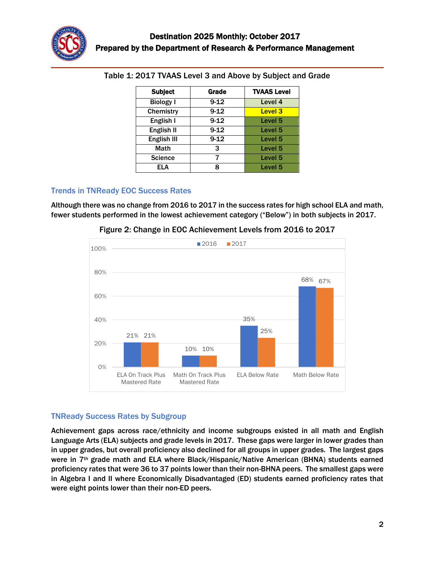

| <b>Subject</b>   | Grade    | <b>TVAAS Level</b> |
|------------------|----------|--------------------|
| <b>Biology I</b> | $9-12$   | Level 4            |
| Chemistry        | $9 - 12$ | Level <sub>3</sub> |
| English I        | $9 - 12$ | Level 5            |
| English II       | $9 - 12$ | Level <sub>5</sub> |
| English III      | $9 - 12$ | Level <sub>5</sub> |
| Math             | 3        | Level <sub>5</sub> |
| <b>Science</b>   |          | Level <sub>5</sub> |
| ELA              | Ջ        | Level 5            |

Table 1: 2017 TVAAS Level 3 and Above by Subject and Grade

### Trends in TNReady EOC Success Rates

Although there was no change from 2016 to 2017 in the success rates for high school ELA and math, fewer students performed in the lowest achievement category ("Below") in both subjects in 2017.



Figure 2: Change in EOC Achievement Levels from 2016 to 2017

## TNReady Success Rates by Subgroup

Achievement gaps across race/ethnicity and income subgroups existed in all math and English Language Arts (ELA) subjects and grade levels in 2017. These gaps were larger in lower grades than in upper grades, but overall proficiency also declined for all groups in upper grades. The largest gaps were in 7<sup>th</sup> grade math and ELA where Black/Hispanic/Native American (BHNA) students earned proficiency rates that were 36 to 37 points lower than their non-BHNA peers. The smallest gaps were in Algebra I and II where Economically Disadvantaged (ED) students earned proficiency rates that were eight points lower than their non-ED peers.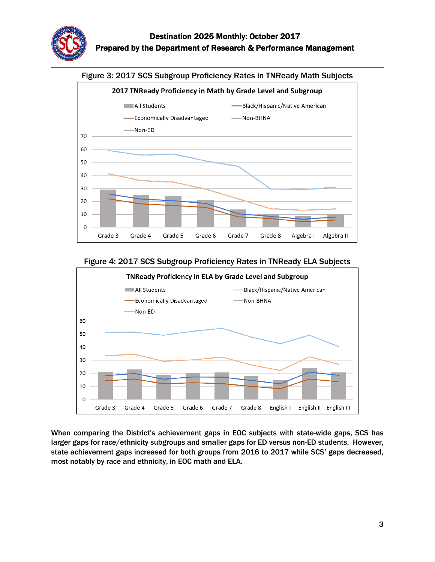





When comparing the District's achievement gaps in EOC subjects with state-wide gaps, SCS has larger gaps for race/ethnicity subgroups and smaller gaps for ED versus non-ED students. However, state achievement gaps increased for both groups from 2016 to 2017 while SCS' gaps decreased, most notably by race and ethnicity, in EOC math and ELA.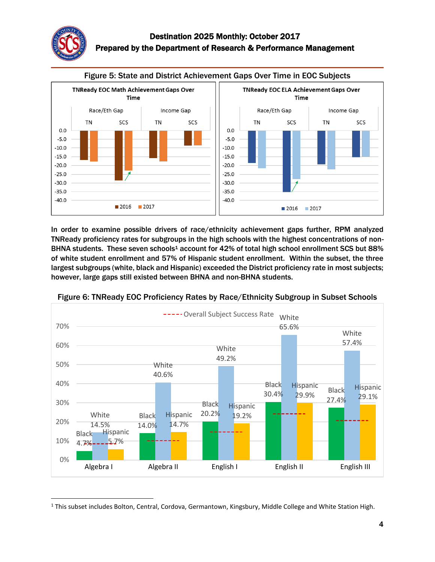



In order to examine possible drivers of race/ethnicity achievement gaps further, RPM analyzed TNReady proficiency rates for subgroups in the high schools with the highest concentrations of non-BHNA students. These seven schools<sup>1</sup> account for 42% of total high school enrollment SCS but 88% of white student enrollment and 57% of Hispanic student enrollment. Within the subset, the three largest subgroups (white, black and Hispanic) exceeded the District proficiency rate in most subjects; however, large gaps still existed between BHNA and non-BHNA students.



Figure 6: TNReady EOC Proficiency Rates by Race/Ethnicity Subgroup in Subset Schools

 $\overline{\phantom{a}}$ <sup>1</sup> This subset includes Bolton, Central, Cordova, Germantown, Kingsbury, Middle College and White Station High.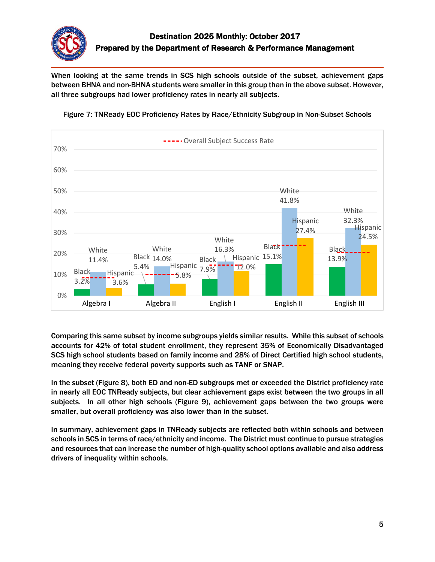

When looking at the same trends in SCS high schools outside of the subset, achievement gaps between BHNA and non-BHNA students were smaller in this group than in the above subset. However, all three subgroups had lower proficiency rates in nearly all subjects.



Figure 7: TNReady EOC Proficiency Rates by Race/Ethnicity Subgroup in Non-Subset Schools

Comparing this same subset by income subgroups yields similar results. While this subset of schools accounts for 42% of total student enrollment, they represent 35% of Economically Disadvantaged SCS high school students based on family income and 28% of Direct Certified high school students, meaning they receive federal poverty supports such as TANF or SNAP.

In the subset (Figure 8), both ED and non-ED subgroups met or exceeded the District proficiency rate in nearly all EOC TNReady subjects, but clear achievement gaps exist between the two groups in all subjects. In all other high schools (Figure 9), achievement gaps between the two groups were smaller, but overall proficiency was also lower than in the subset.

In summary, achievement gaps in TNReady subjects are reflected both within schools and between schools in SCS in terms of race/ethnicity and income. The District must continue to pursue strategies and resources that can increase the number of high-quality school options available and also address drivers of inequality within schools.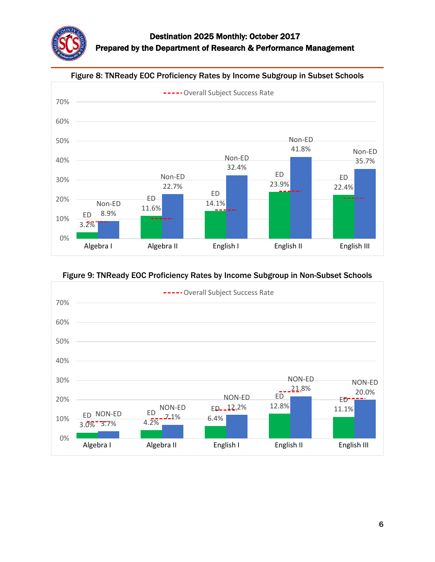

#### Figure 8: TNReady EOC Proficiency Rates by Income Subgroup in Subset Schools



### Figure 9: TNReady EOC Proficiency Rates by Income Subgroup in Non-Subset Schools

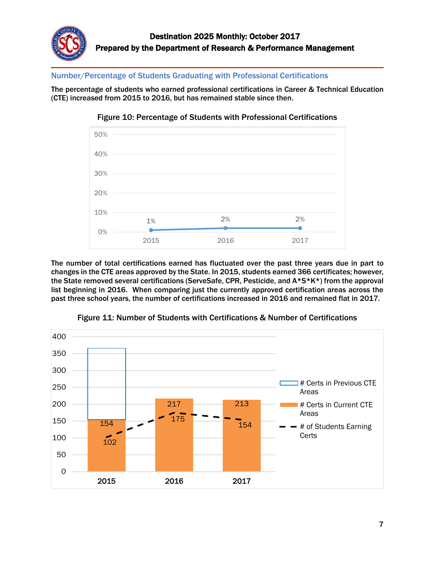

Number/Percentage of Students Graduating with Professional Certifications

The percentage of students who earned professional certifications in Career & Technical Education (CTE) increased from 2015 to 2016, but has remained stable since then.





The number of total certifications earned has fluctuated over the past three years due in part to changes in the CTE areas approved by the State. In 2015, students earned 366 certificates; however, the State removed several certifications (ServeSafe, CPR, Pesticide, and A\*S\*K\*) from the approval list beginning in 2016. When comparing just the currently approved certification areas across the past three school years, the number of certifications increased in 2016 and remained flat in 2017.



Figure 11: Number of Students with Certifications & Number of Certifications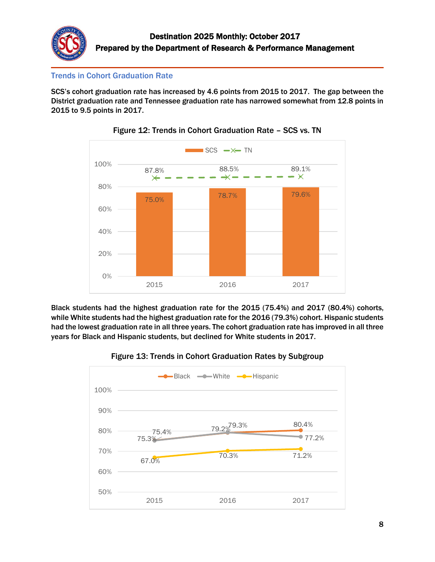

## Trends in Cohort Graduation Rate

SCS's cohort graduation rate has increased by 4.6 points from 2015 to 2017. The gap between the District graduation rate and Tennessee graduation rate has narrowed somewhat from 12.8 points in 2015 to 9.5 points in 2017.





Black students had the highest graduation rate for the 2015 (75.4%) and 2017 (80.4%) cohorts, while White students had the highest graduation rate for the 2016 (79.3%) cohort. Hispanic students had the lowest graduation rate in all three years. The cohort graduation rate has improved in all three years for Black and Hispanic students, but declined for White students in 2017.